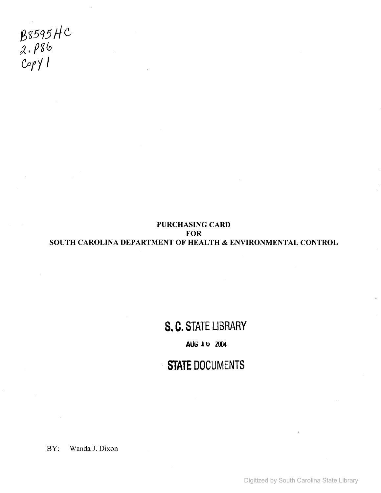B8595HC *J.pgto*  $C$ op $\gamma$ l

#### PURCHASING CARD FOR SOUTH CAROLINA DEPARTMENT OF HEALTH & ENVIRONMENTAL CONTROL

# **S. C. STATE LIBRARY**

#### **AUG.lu 2004**

### **STATE DOCUMENTS**

BY: Wanda J. Dixon

Digitized by South Carolina State Library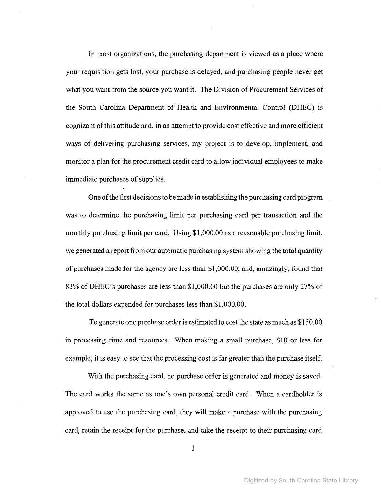In most organizations, the purchasing department is viewed as a place where your requisition gets lost, your purchase is delayed, and purchasing people never get what you want from the source you want it. The Division of Procurement Services of the South Carolina Department of Health and Environmental Control (DHEC) is cognizant ofthis attitude and, in an attempt to provide cost effective and more efficient ways of delivering purchasing services, my project is to develop, implement, and monitor a plan for the procurement credit card to allow individual employees to make immediate purchases of supplies.

One ofthe first decisionsto be made in establishing the purchasing card program was to determine the purchasing limit per purchasing card per transaction and the monthly purchasing limit per card. Using \$1,000.00 as a reasonable purchasing limit, we generated a report from our automatic purchasing system showing the total quantity of purchases made for the agency are less than \$1,000.00, and, amazingly, found that 83% ofDHEC's purchases are less than \$1,000.00 but the purchases are only 27% of the total dollars expended for purchases less than \$1,000.00.

To generate one purchase order is estimated to cost the state as much as \$150.00 in processing time and resources. When making a small purchase, \$10 or less for example, it is easy to see that the processing cost is far greater than the purchase itself.

With the purchasing card, no purchase order is generated and money is saved. The card works the same as one's own personal credit card. When a cardholder is approved to use the purchasing card, they will make a purchase with the purchasing card, retain the receipt for the purchase, and take the receipt to their purchasing card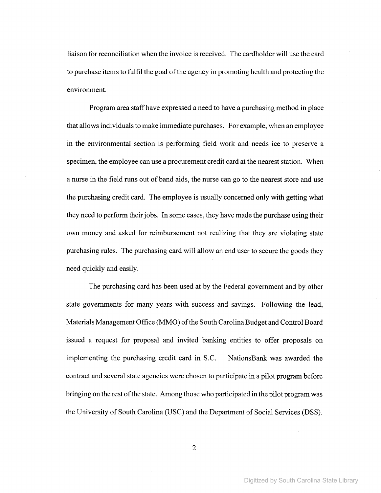liaison for reconciliation when the invoice is received. The cardholder will use the card to purchase items to fulfil the goal of the agency in promoting health and protecting the environment.

Program area staffhave expressed a need to have a purchasing method in place that allows individuals to make immediate purchases. For example, when an employee in the environmental section is performing field work and needs ice to preserve a specimen, the employee can use a procurement credit card at the nearest station. When a nurse in the field runs out of band aids, the nurse can go to the nearest store and use the purchasing credit card. The employee is usually concerned only with getting what they need to perform their jobs. In some cases, they have made the purchase using their own money and asked for reimbursement not realizing that they are violating state purchasing rules. The purchasing card will allow an end user to secure the goods they need quickly and easily.

The purchasing card has been used at by the Federal government and by other state governments for many years with success and savings. Following the lead, Materials Management Office (MMO) ofthe South Carolina Budget and Control Board issued a request for proposal and invited banking entities to offer proposals on implementing the purchasing credit card in S.C. NationsBank was awarded the contract and several state agencies were chosen to participate in a pilot program before bringing on the rest ofthe state. Among those who participated in the pilot program was the University of South Carolina (USC) and the Department of Social Services (DSS).

2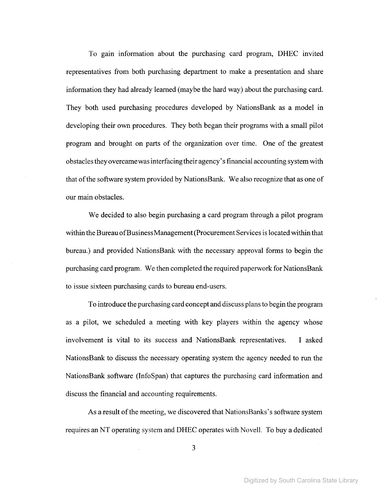To gam information about the purchasing card program, DHEC invited representatives from both purchasing department to make a presentation and share information they had already learned (maybe the hard way) about the purchasing card. They both used purchasing procedures developed by NationsBank as a model in developing their own procedures. They both began their programs with a small pilot program and brought on parts of the organization over time. One of the greatest obstaclesthey overcamewasinterfacingtheir agency'sfinancial accounting system with that of the software system provided by NationsBank. We also recognize that as one of our main obstacles.

We decided to also begin purchasing a card program through a pilot program within the Bureau of Business Management (Procurement Services is located within that bureau.) and provided NationsBank with the necessary approval forms to begin the purchasing card program. We then completed the required paperwork for NationsBank to issue sixteen purchasing cards to bureau end-users.

To introduce the purchasing card concept and discuss plansto begin the program as a pilot, we scheduled a meeting with key players within the agency whose involvement is vital to its success and NationsBank representatives. I asked NationsBank to discuss the necessary operating system the agency needed to run the NationsBank software (InfoSpan) that captures the purchasing card information and discuss the financial and accounting requirements.

As a result of the meeting, we discovered that NationsBanks's software system requires an NT operating system and DHEC operates with Novell. To buy a dedicated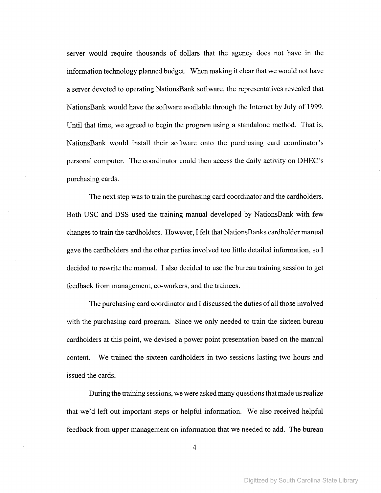server would require thousands of dollars that the agency does not have in the information technology planned budget. When making it clear that we would not have a server devoted to operating NationsBank software, the representatives revealed that NationsBank would have the software available through the Internet by July of 1999. Until that time, we agreed to begin the program using a standalone method. That is, NationsBank would install their software onto the purchasing card coordinator's personal computer. The coordinator could then access the daily activity on DHEC's purchasing cards.

The next step was to train the purchasing card coordinator and the cardholders. Both USC and DSS used the training manual developed by NationsBank with few changes to train the cardholders. However, I felt that NationsBanks cardholder manual gave the cardholders and the other parties involved too little detailed information, so I decided to rewrite the manual. I also decided to use the bureau training session to get feedback from management, co-workers, and the trainees.

The purchasing card coordinator and I discussed the duties of all those involved with the purchasing card program. Since we only needed to train the sixteen bureau cardholders at this point, we devised a power point presentation based on the manual content. We trained the sixteen cardholders in two sessions lasting two hours and issued the cards.

During the training sessions, we were asked many questions that made us realize that we'd left out important steps or helpful information. We also received helpful feedback from upper management on information that we needed to add. The bureau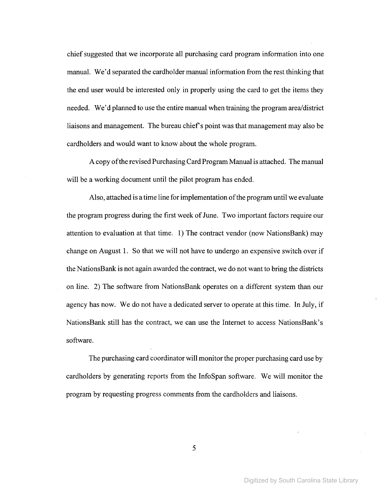chief suggested that we incorporate all purchasing card program information into one manual. We'd separated the cardholder manual information from the rest thinking that the end user would be interested only in properly using the card to get the items they needed. We'd planned to use the entire manual when training the program area/district liaisons and management. The bureau chief's point was that management may also be cardholders and would want to know about the whole program.

A copy of the revised Purchasing Card Program Manual is attached. The manual will be a working document until the pilot program has ended.

Also, attached is a time line for implementation of the program until we evaluate the program progress during the first week of June. Two important factors require our attention to evaluation at that time. 1) The contract vendor (now NationsBank) may change on August 1. So that we will not have to undergo an expensive switch over if the NationsBank is not again awarded the contract, we do not want to bring the districts on line. 2) The software from NationsBank operates on a different system than our agency has now. We do not have a dedicated server to operate at this time. **In** July, if NationsBank still has the contract, we can use the Internet to access NationsBank's software.

The purchasing card coordinator will monitor the proper purchasing card use by cardholders by generating reports from the InfoSpan software. We will monitor the program by requesting progress comments from the cardholders and liaisons.

5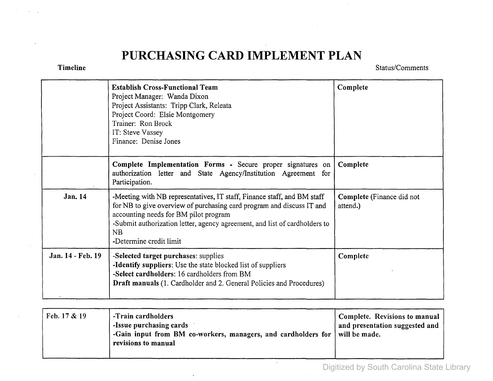## **PURCHASING CARD IMPLEMENT PLAN**

Timeline

Status/Comments

|                   | <b>Establish Cross-Functional Team</b><br>Project Manager: Wanda Dixon<br>Project Assistants: Tripp Clark, Releata<br>Project Coord: Elsie Montgomery<br>Trainer: Ron Brock<br>IT: Steve Vassey<br>Finance: Denise Jones                                                                                 | Complete                              |
|-------------------|----------------------------------------------------------------------------------------------------------------------------------------------------------------------------------------------------------------------------------------------------------------------------------------------------------|---------------------------------------|
|                   | Complete Implementation Forms - Secure proper signatures on<br>authorization letter and State Agency/Institution Agreement for<br>Participation.                                                                                                                                                         | Complete                              |
| Jan. 14           | -Meeting with NB representatives, IT staff, Finance staff, and BM staff<br>for NB to give overview of purchasing card program and discuss IT and<br>accounting needs for BM pilot program<br>-Submit authorization letter, agency agreement, and list of cardholders to<br>NB<br>-Determine credit limit | Complete (Finance did not<br>attend.) |
| Jan. 14 - Feb. 19 | -Selected target purchases: supplies<br>-Identify suppliers: Use the state blocked list of suppliers<br>-Select cardholders: 16 cardholders from BM<br><b>Draft manuals</b> (1. Cardholder and 2. General Policies and Procedures)                                                                       | Complete                              |

| Feb. $17 & 19$ | -Train cardholders<br>-Issue purchasing cards<br>Gain input from BM co-workers, managers, and cardholders for   will be made.<br>revisions to manual | Complete. Revisions to manual<br>and presentation suggested and |
|----------------|------------------------------------------------------------------------------------------------------------------------------------------------------|-----------------------------------------------------------------|
|----------------|------------------------------------------------------------------------------------------------------------------------------------------------------|-----------------------------------------------------------------|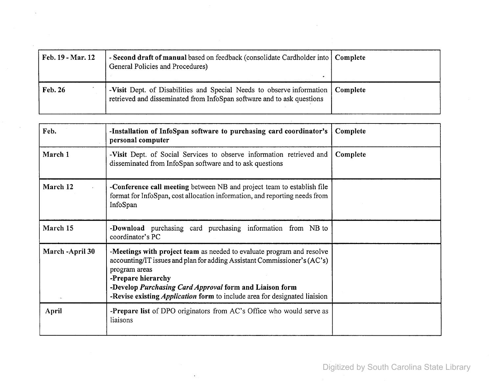| Feb. 19 - Mar. 12 | - Second draft of manual based on feedback (consolidate Cardholder into   Complete<br>General Policies and Procedures)                                     |  |
|-------------------|------------------------------------------------------------------------------------------------------------------------------------------------------------|--|
| Feb. 26           | -Visit Dept. of Disabilities and Special Needs to observe information   Complete<br>retrieved and disseminated from InfoSpan software and to ask questions |  |

 $\sim 10^{-1}$ 

ä,

 $\sim 10^{-1}$ 

 $\sim$ 

| Feb.             | -Installation of InfoSpan software to purchasing card coordinator's<br>personal computer                                                                                                                                                                                                                                                | Complete |
|------------------|-----------------------------------------------------------------------------------------------------------------------------------------------------------------------------------------------------------------------------------------------------------------------------------------------------------------------------------------|----------|
| March 1          | -Visit Dept. of Social Services to observe information retrieved and<br>disseminated from InfoSpan software and to ask questions                                                                                                                                                                                                        | Complete |
| March 12         | -Conference call meeting between NB and project team to establish file<br>format for InfoSpan, cost allocation information, and reporting needs from<br>InfoSpan                                                                                                                                                                        |          |
| March 15         | -Download purchasing card purchasing information from NB to<br>coordinator's PC                                                                                                                                                                                                                                                         |          |
| March - April 30 | -Meetings with project team as needed to evaluate program and resolve<br>accounting/IT issues and plan for adding Assistant Commissioner's (AC's)<br>program areas<br>-Prepare hierarchy<br>-Develop Purchasing Card Approval form and Liaison form<br>-Revise existing <i>Application</i> form to include area for designated liaision |          |
| April            | <b>-Prepare list</b> of DPO originators from AC's Office who would serve as<br>liaisons                                                                                                                                                                                                                                                 |          |

 $\sim$